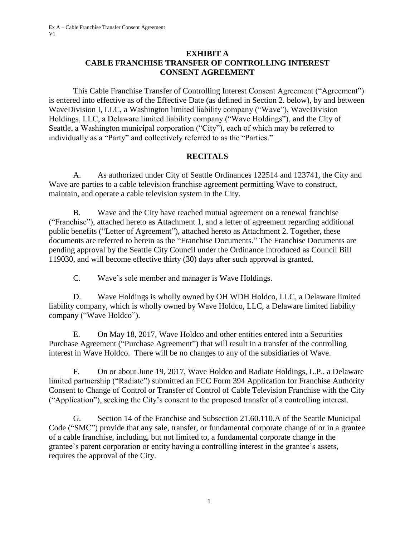### **EXHIBIT A CABLE FRANCHISE TRANSFER OF CONTROLLING INTEREST CONSENT AGREEMENT**

This Cable Franchise Transfer of Controlling Interest Consent Agreement ("Agreement") is entered into effective as of the Effective Date (as defined in Section 2. below), by and between WaveDivision I, LLC, a Washington limited liability company ("Wave"), WaveDivision Holdings, LLC, a Delaware limited liability company ("Wave Holdings"), and the City of Seattle, a Washington municipal corporation ("City"), each of which may be referred to individually as a "Party" and collectively referred to as the "Parties."

# **RECITALS**

A. As authorized under City of Seattle Ordinances 122514 and 123741, the City and Wave are parties to a cable television franchise agreement permitting Wave to construct, maintain, and operate a cable television system in the City.

B. Wave and the City have reached mutual agreement on a renewal franchise ("Franchise"), attached hereto as Attachment 1, and a letter of agreement regarding additional public benefits ("Letter of Agreement"), attached hereto as Attachment 2. Together, these documents are referred to herein as the "Franchise Documents." The Franchise Documents are pending approval by the Seattle City Council under the Ordinance introduced as Council Bill 119030, and will become effective thirty (30) days after such approval is granted.

C. Wave's sole member and manager is Wave Holdings.

D. Wave Holdings is wholly owned by OH WDH Holdco, LLC, a Delaware limited liability company, which is wholly owned by Wave Holdco, LLC, a Delaware limited liability company ("Wave Holdco").

E. On May 18, 2017, Wave Holdco and other entities entered into a Securities Purchase Agreement ("Purchase Agreement") that will result in a transfer of the controlling interest in Wave Holdco. There will be no changes to any of the subsidiaries of Wave.

F. On or about June 19, 2017, Wave Holdco and Radiate Holdings, L.P., a Delaware limited partnership ("Radiate") submitted an FCC Form 394 Application for Franchise Authority Consent to Change of Control or Transfer of Control of Cable Television Franchise with the City ("Application"), seeking the City's consent to the proposed transfer of a controlling interest.

G. Section 14 of the Franchise and Subsection 21.60.110.A of the Seattle Municipal Code ("SMC") provide that any sale, transfer, or fundamental corporate change of or in a grantee of a cable franchise, including, but not limited to, a fundamental corporate change in the grantee's parent corporation or entity having a controlling interest in the grantee's assets, requires the approval of the City.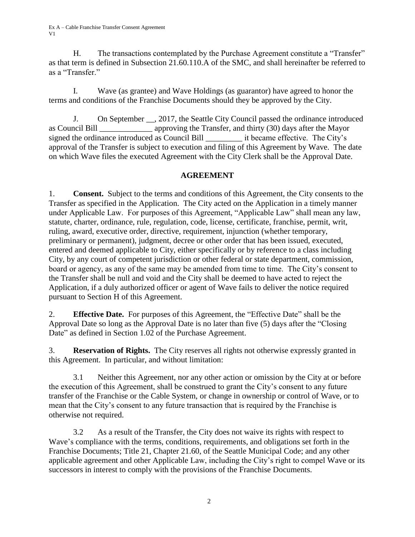H. The transactions contemplated by the Purchase Agreement constitute a "Transfer" as that term is defined in Subsection 21.60.110.A of the SMC, and shall hereinafter be referred to as a "Transfer."

I. Wave (as grantee) and Wave Holdings (as guarantor) have agreed to honor the terms and conditions of the Franchise Documents should they be approved by the City.

J. On September \_\_, 2017, the Seattle City Council passed the ordinance introduced as Council Bill \_\_\_\_\_\_\_\_\_\_\_\_\_ approving the Transfer, and thirty (30) days after the Mayor signed the ordinance introduced as Council Bill it became effective. The City's approval of the Transfer is subject to execution and filing of this Agreement by Wave. The date on which Wave files the executed Agreement with the City Clerk shall be the Approval Date.

# **AGREEMENT**

1. **Consent.** Subject to the terms and conditions of this Agreement, the City consents to the Transfer as specified in the Application. The City acted on the Application in a timely manner under Applicable Law. For purposes of this Agreement, "Applicable Law" shall mean any law, statute, charter, ordinance, rule, regulation, code, license, certificate, franchise, permit, writ, ruling, award, executive order, directive, requirement, injunction (whether temporary, preliminary or permanent), judgment, decree or other order that has been issued, executed, entered and deemed applicable to City, either specifically or by reference to a class including City, by any court of competent jurisdiction or other federal or state department, commission, board or agency, as any of the same may be amended from time to time. The City's consent to the Transfer shall be null and void and the City shall be deemed to have acted to reject the Application, if a duly authorized officer or agent of Wave fails to deliver the notice required pursuant to Section H of this Agreement.

2. **Effective Date.** For purposes of this Agreement, the "Effective Date" shall be the Approval Date so long as the Approval Date is no later than five (5) days after the "Closing Date" as defined in Section 1.02 of the Purchase Agreement.

3. **Reservation of Rights.** The City reserves all rights not otherwise expressly granted in this Agreement. In particular, and without limitation:

3.1 Neither this Agreement, nor any other action or omission by the City at or before the execution of this Agreement, shall be construed to grant the City's consent to any future transfer of the Franchise or the Cable System, or change in ownership or control of Wave, or to mean that the City's consent to any future transaction that is required by the Franchise is otherwise not required.

3.2 As a result of the Transfer, the City does not waive its rights with respect to Wave's compliance with the terms, conditions, requirements, and obligations set forth in the Franchise Documents; Title 21, Chapter 21.60, of the Seattle Municipal Code; and any other applicable agreement and other Applicable Law, including the City's right to compel Wave or its successors in interest to comply with the provisions of the Franchise Documents.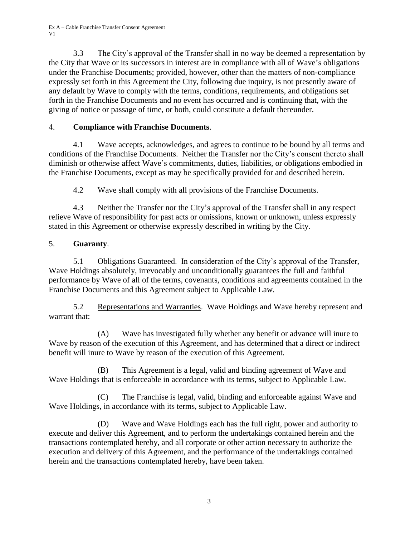Ex A – Cable Franchise Transfer Consent Agreement V1

3.3 The City's approval of the Transfer shall in no way be deemed a representation by the City that Wave or its successors in interest are in compliance with all of Wave's obligations under the Franchise Documents; provided, however, other than the matters of non-compliance expressly set forth in this Agreement the City, following due inquiry, is not presently aware of any default by Wave to comply with the terms, conditions, requirements, and obligations set forth in the Franchise Documents and no event has occurred and is continuing that, with the giving of notice or passage of time, or both, could constitute a default thereunder.

## 4. **Compliance with Franchise Documents**.

4.1 Wave accepts, acknowledges, and agrees to continue to be bound by all terms and conditions of the Franchise Documents. Neither the Transfer nor the City's consent thereto shall diminish or otherwise affect Wave's commitments, duties, liabilities, or obligations embodied in the Franchise Documents, except as may be specifically provided for and described herein.

4.2 Wave shall comply with all provisions of the Franchise Documents.

4.3 Neither the Transfer nor the City's approval of the Transfer shall in any respect relieve Wave of responsibility for past acts or omissions, known or unknown, unless expressly stated in this Agreement or otherwise expressly described in writing by the City.

### 5. **Guaranty**.

5.1 Obligations Guaranteed. In consideration of the City's approval of the Transfer, Wave Holdings absolutely, irrevocably and unconditionally guarantees the full and faithful performance by Wave of all of the terms, covenants, conditions and agreements contained in the Franchise Documents and this Agreement subject to Applicable Law.

5.2 Representations and Warranties. Wave Holdings and Wave hereby represent and warrant that:

(A) Wave has investigated fully whether any benefit or advance will inure to Wave by reason of the execution of this Agreement, and has determined that a direct or indirect benefit will inure to Wave by reason of the execution of this Agreement.

(B) This Agreement is a legal, valid and binding agreement of Wave and Wave Holdings that is enforceable in accordance with its terms, subject to Applicable Law.

(C) The Franchise is legal, valid, binding and enforceable against Wave and Wave Holdings, in accordance with its terms, subject to Applicable Law.

(D) Wave and Wave Holdings each has the full right, power and authority to execute and deliver this Agreement, and to perform the undertakings contained herein and the transactions contemplated hereby, and all corporate or other action necessary to authorize the execution and delivery of this Agreement, and the performance of the undertakings contained herein and the transactions contemplated hereby, have been taken.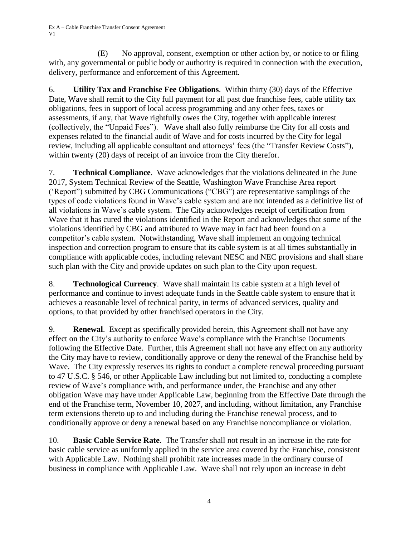(E) No approval, consent, exemption or other action by, or notice to or filing with, any governmental or public body or authority is required in connection with the execution, delivery, performance and enforcement of this Agreement.

6. **Utility Tax and Franchise Fee Obligations**. Within thirty (30) days of the Effective Date, Wave shall remit to the City full payment for all past due franchise fees, cable utility tax obligations, fees in support of local access programming and any other fees, taxes or assessments, if any, that Wave rightfully owes the City, together with applicable interest (collectively, the "Unpaid Fees"). Wave shall also fully reimburse the City for all costs and expenses related to the financial audit of Wave and for costs incurred by the City for legal review, including all applicable consultant and attorneys' fees (the "Transfer Review Costs"), within twenty (20) days of receipt of an invoice from the City therefor.

7. **Technical Compliance**. Wave acknowledges that the violations delineated in the June 2017, System Technical Review of the Seattle, Washington Wave Franchise Area report ('Report") submitted by CBG Communications ("CBG") are representative samplings of the types of code violations found in Wave's cable system and are not intended as a definitive list of all violations in Wave's cable system. The City acknowledges receipt of certification from Wave that it has cured the violations identified in the Report and acknowledges that some of the violations identified by CBG and attributed to Wave may in fact had been found on a competitor's cable system. Notwithstanding, Wave shall implement an ongoing technical inspection and correction program to ensure that its cable system is at all times substantially in compliance with applicable codes, including relevant NESC and NEC provisions and shall share such plan with the City and provide updates on such plan to the City upon request.

8. **Technological Currency**. Wave shall maintain its cable system at a high level of performance and continue to invest adequate funds in the Seattle cable system to ensure that it achieves a reasonable level of technical parity, in terms of advanced services, quality and options, to that provided by other franchised operators in the City.

9. **Renewal**. Except as specifically provided herein, this Agreement shall not have any effect on the City's authority to enforce Wave's compliance with the Franchise Documents following the Effective Date. Further, this Agreement shall not have any effect on any authority the City may have to review, conditionally approve or deny the renewal of the Franchise held by Wave. The City expressly reserves its rights to conduct a complete renewal proceeding pursuant to 47 U.S.C. § 546, or other Applicable Law including but not limited to, conducting a complete review of Wave's compliance with, and performance under, the Franchise and any other obligation Wave may have under Applicable Law, beginning from the Effective Date through the end of the Franchise term, November 10, 2027, and including, without limitation, any Franchise term extensions thereto up to and including during the Franchise renewal process, and to conditionally approve or deny a renewal based on any Franchise noncompliance or violation.

10. **Basic Cable Service Rate**. The Transfer shall not result in an increase in the rate for basic cable service as uniformly applied in the service area covered by the Franchise, consistent with Applicable Law. Nothing shall prohibit rate increases made in the ordinary course of business in compliance with Applicable Law. Wave shall not rely upon an increase in debt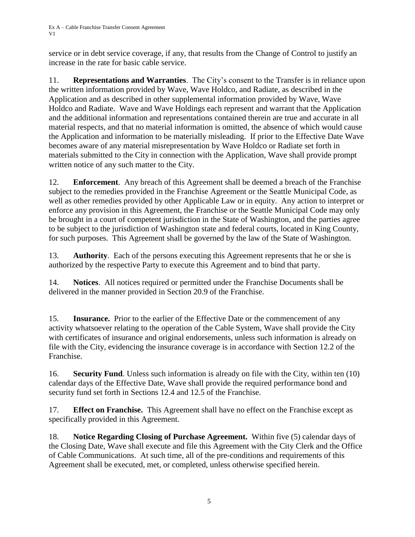service or in debt service coverage, if any, that results from the Change of Control to justify an increase in the rate for basic cable service.

11. **Representations and Warranties**. The City's consent to the Transfer is in reliance upon the written information provided by Wave, Wave Holdco, and Radiate, as described in the Application and as described in other supplemental information provided by Wave, Wave Holdco and Radiate. Wave and Wave Holdings each represent and warrant that the Application and the additional information and representations contained therein are true and accurate in all material respects, and that no material information is omitted, the absence of which would cause the Application and information to be materially misleading. If prior to the Effective Date Wave becomes aware of any material misrepresentation by Wave Holdco or Radiate set forth in materials submitted to the City in connection with the Application, Wave shall provide prompt written notice of any such matter to the City.

12. **Enforcement**. Any breach of this Agreement shall be deemed a breach of the Franchise subject to the remedies provided in the Franchise Agreement or the Seattle Municipal Code, as well as other remedies provided by other Applicable Law or in equity. Any action to interpret or enforce any provision in this Agreement, the Franchise or the Seattle Municipal Code may only be brought in a court of competent jurisdiction in the State of Washington, and the parties agree to be subject to the jurisdiction of Washington state and federal courts, located in King County, for such purposes. This Agreement shall be governed by the law of the State of Washington.

13. **Authority**. Each of the persons executing this Agreement represents that he or she is authorized by the respective Party to execute this Agreement and to bind that party.

14. **Notices**. All notices required or permitted under the Franchise Documents shall be delivered in the manner provided in Section 20.9 of the Franchise.

15. **Insurance.** Prior to the earlier of the Effective Date or the commencement of any activity whatsoever relating to the operation of the Cable System, Wave shall provide the City with certificates of insurance and original endorsements, unless such information is already on file with the City, evidencing the insurance coverage is in accordance with Section 12.2 of the Franchise.

16. **Security Fund**. Unless such information is already on file with the City, within ten (10) calendar days of the Effective Date, Wave shall provide the required performance bond and security fund set forth in Sections 12.4 and 12.5 of the Franchise.

17. **Effect on Franchise.** This Agreement shall have no effect on the Franchise except as specifically provided in this Agreement.

18. **Notice Regarding Closing of Purchase Agreement.** Within five (5) calendar days of the Closing Date, Wave shall execute and file this Agreement with the City Clerk and the Office of Cable Communications. At such time, all of the pre-conditions and requirements of this Agreement shall be executed, met, or completed, unless otherwise specified herein.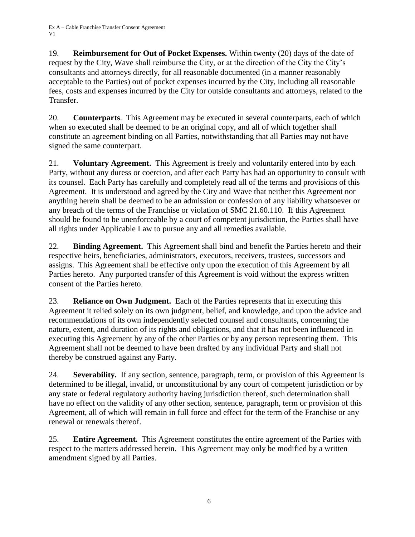19. **Reimbursement for Out of Pocket Expenses.** Within twenty (20) days of the date of request by the City, Wave shall reimburse the City, or at the direction of the City the City's consultants and attorneys directly, for all reasonable documented (in a manner reasonably acceptable to the Parties) out of pocket expenses incurred by the City, including all reasonable fees, costs and expenses incurred by the City for outside consultants and attorneys, related to the Transfer.

20. **Counterparts**. This Agreement may be executed in several counterparts, each of which when so executed shall be deemed to be an original copy, and all of which together shall constitute an agreement binding on all Parties, notwithstanding that all Parties may not have signed the same counterpart.

21. **Voluntary Agreement.** This Agreement is freely and voluntarily entered into by each Party, without any duress or coercion, and after each Party has had an opportunity to consult with its counsel. Each Party has carefully and completely read all of the terms and provisions of this Agreement. It is understood and agreed by the City and Wave that neither this Agreement nor anything herein shall be deemed to be an admission or confession of any liability whatsoever or any breach of the terms of the Franchise or violation of SMC 21.60.110. If this Agreement should be found to be unenforceable by a court of competent jurisdiction, the Parties shall have all rights under Applicable Law to pursue any and all remedies available.

22. **Binding Agreement.** This Agreement shall bind and benefit the Parties hereto and their respective heirs, beneficiaries, administrators, executors, receivers, trustees, successors and assigns. This Agreement shall be effective only upon the execution of this Agreement by all Parties hereto. Any purported transfer of this Agreement is void without the express written consent of the Parties hereto.

23. **Reliance on Own Judgment.** Each of the Parties represents that in executing this Agreement it relied solely on its own judgment, belief, and knowledge, and upon the advice and recommendations of its own independently selected counsel and consultants, concerning the nature, extent, and duration of its rights and obligations, and that it has not been influenced in executing this Agreement by any of the other Parties or by any person representing them. This Agreement shall not be deemed to have been drafted by any individual Party and shall not thereby be construed against any Party.

24. **Severability.** If any section, sentence, paragraph, term, or provision of this Agreement is determined to be illegal, invalid, or unconstitutional by any court of competent jurisdiction or by any state or federal regulatory authority having jurisdiction thereof, such determination shall have no effect on the validity of any other section, sentence, paragraph, term or provision of this Agreement, all of which will remain in full force and effect for the term of the Franchise or any renewal or renewals thereof.

25. **Entire Agreement.** This Agreement constitutes the entire agreement of the Parties with respect to the matters addressed herein. This Agreement may only be modified by a written amendment signed by all Parties.